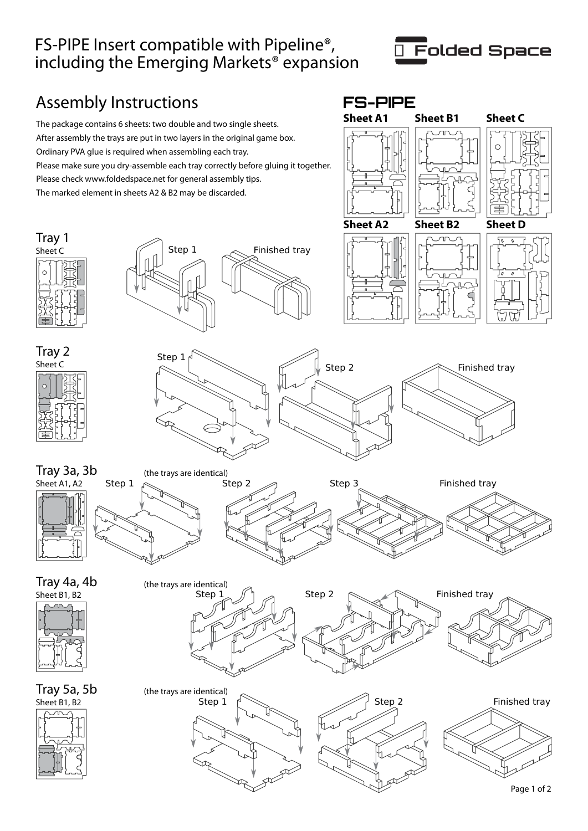## FS-PIPE Insert compatible with Pipeline®, including the Emerging Markets® expansion



## Assembly Instructions **FS-PIPE**

The package contains 6 sheets: two double and two single sheets. After assembly the trays are put in two layers in the original game box. Ordinary PVA glue is required when assembling each tray. Please make sure you dry-assemble each tray correctly before gluing it together. Please check www.foldedspace.net for general assembly tips. The marked element in sheets A2 & B2 may be discarded.





Tray 1







Step 1  $\sim$  Finished tray